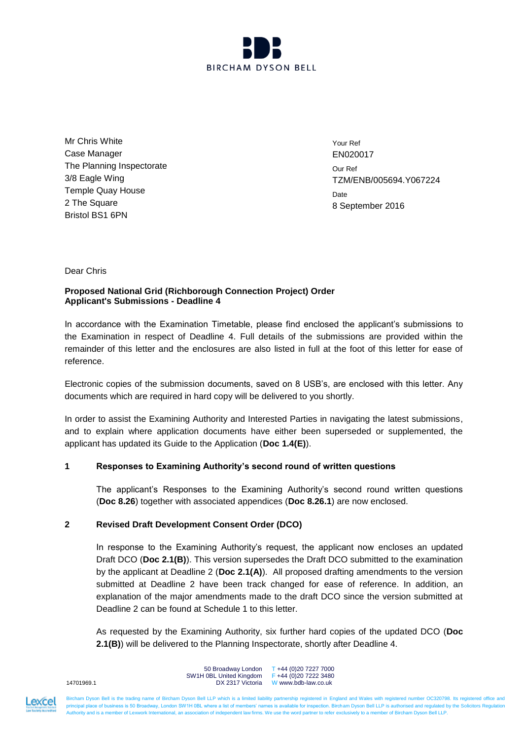

Mr Chris White Case Manager The Planning Inspectorate 3/8 Eagle Wing Temple Quay House 2 The Square Bristol BS1 6PN

Your Ref EN020017 Our Ref TZM/ENB/005694.Y067224 **Date** 8 September 2016

### Dear Chris

# **Proposed National Grid (Richborough Connection Project) Order Applicant's Submissions - Deadline 4**

In accordance with the Examination Timetable, please find enclosed the applicant's submissions to the Examination in respect of Deadline 4. Full details of the submissions are provided within the remainder of this letter and the enclosures are also listed in full at the foot of this letter for ease of reference.

Electronic copies of the submission documents, saved on 8 USB's, are enclosed with this letter. Any documents which are required in hard copy will be delivered to you shortly.

In order to assist the Examining Authority and Interested Parties in navigating the latest submissions, and to explain where application documents have either been superseded or supplemented, the applicant has updated its Guide to the Application (**Doc 1.4(E)**).

# **1 Responses to Examining Authority's second round of written questions**

The applicant's Responses to the Examining Authority's second round written questions (**Doc 8.26**) together with associated appendices (**Doc 8.26.1**) are now enclosed.

# **2 Revised Draft Development Consent Order (DCO)**

In response to the Examining Authority's request, the applicant now encloses an updated Draft DCO (**Doc 2.1(B)**). This version supersedes the Draft DCO submitted to the examination by the applicant at Deadline 2 (**Doc 2.1(A)**). All proposed drafting amendments to the version submitted at Deadline 2 have been track changed for ease of reference. In addition, an explanation of the major amendments made to the draft DCO since the version submitted at Deadline 2 can be found at Schedule 1 to this letter.

As requested by the Examining Authority, six further hard copies of the updated DCO (**Doc 2.1(B)**) will be delivered to the Planning Inspectorate, shortly after Deadline 4.



50 Broadway London SW1H 0BL United Kingdom DX 2317 Victoria W www.bdb-law.co.uk T +44 (0)20 7227 7000 F +44 (0)20 7222 3480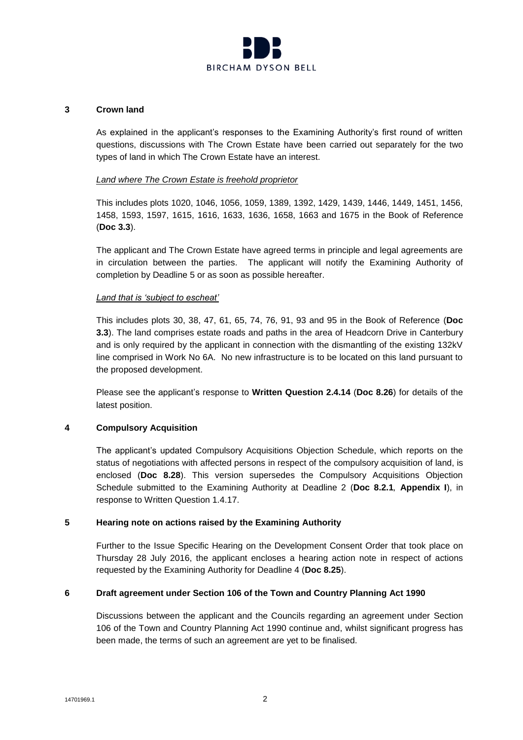

### **3 Crown land**

As explained in the applicant's responses to the Examining Authority's first round of written questions, discussions with The Crown Estate have been carried out separately for the two types of land in which The Crown Estate have an interest.

### *Land where The Crown Estate is freehold proprietor*

This includes plots 1020, 1046, 1056, 1059, 1389, 1392, 1429, 1439, 1446, 1449, 1451, 1456, 1458, 1593, 1597, 1615, 1616, 1633, 1636, 1658, 1663 and 1675 in the Book of Reference (**Doc 3.3**).

The applicant and The Crown Estate have agreed terms in principle and legal agreements are in circulation between the parties. The applicant will notify the Examining Authority of completion by Deadline 5 or as soon as possible hereafter.

### *Land that is 'subject to escheat'*

This includes plots 30, 38, 47, 61, 65, 74, 76, 91, 93 and 95 in the Book of Reference (**Doc 3.3**). The land comprises estate roads and paths in the area of Headcorn Drive in Canterbury and is only required by the applicant in connection with the dismantling of the existing 132kV line comprised in Work No 6A. No new infrastructure is to be located on this land pursuant to the proposed development.

Please see the applicant's response to **Written Question 2.4.14** (**Doc 8.26**) for details of the latest position.

### **4 Compulsory Acquisition**

The applicant's updated Compulsory Acquisitions Objection Schedule, which reports on the status of negotiations with affected persons in respect of the compulsory acquisition of land, is enclosed (**Doc 8.28**). This version supersedes the Compulsory Acquisitions Objection Schedule submitted to the Examining Authority at Deadline 2 (**Doc 8.2.1***,* **Appendix I**), in response to Written Question 1.4.17.

### **5 Hearing note on actions raised by the Examining Authority**

Further to the Issue Specific Hearing on the Development Consent Order that took place on Thursday 28 July 2016, the applicant encloses a hearing action note in respect of actions requested by the Examining Authority for Deadline 4 (**Doc 8.25**).

# **6 Draft agreement under Section 106 of the Town and Country Planning Act 1990**

Discussions between the applicant and the Councils regarding an agreement under Section 106 of the Town and Country Planning Act 1990 continue and, whilst significant progress has been made, the terms of such an agreement are yet to be finalised.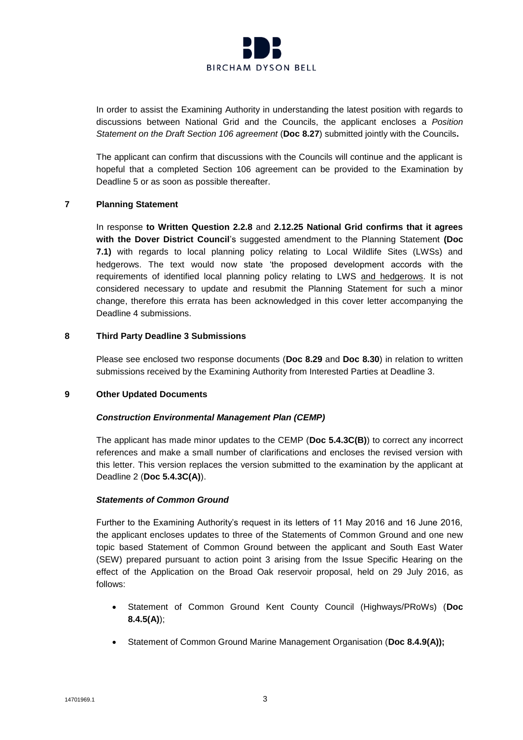

In order to assist the Examining Authority in understanding the latest position with regards to discussions between National Grid and the Councils, the applicant encloses a *Position Statement on the Draft Section 106 agreement* (**Doc 8.27**) submitted jointly with the Councils**.**

The applicant can confirm that discussions with the Councils will continue and the applicant is hopeful that a completed Section 106 agreement can be provided to the Examination by Deadline 5 or as soon as possible thereafter.

### **7 Planning Statement**

In response **to Written Question 2.2.8** and **2.12.25 National Grid confirms that it agrees with the Dover District Council**'s suggested amendment to the Planning Statement **(Doc 7.1)** with regards to local planning policy relating to Local Wildlife Sites (LWSs) and hedgerows. The text would now state 'the proposed development accords with the requirements of identified local planning policy relating to LWS and hedgerows. It is not considered necessary to update and resubmit the Planning Statement for such a minor change, therefore this errata has been acknowledged in this cover letter accompanying the Deadline 4 submissions.

### **8 Third Party Deadline 3 Submissions**

Please see enclosed two response documents (**Doc 8.29** and **Doc 8.30**) in relation to written submissions received by the Examining Authority from Interested Parties at Deadline 3.

### **9 Other Updated Documents**

# *Construction Environmental Management Plan (CEMP)*

The applicant has made minor updates to the CEMP (**Doc 5.4.3C(B)**) to correct any incorrect references and make a small number of clarifications and encloses the revised version with this letter. This version replaces the version submitted to the examination by the applicant at Deadline 2 (**Doc 5.4.3C(A)**).

### *Statements of Common Ground*

Further to the Examining Authority's request in its letters of 11 May 2016 and 16 June 2016, the applicant encloses updates to three of the Statements of Common Ground and one new topic based Statement of Common Ground between the applicant and South East Water (SEW) prepared pursuant to action point 3 arising from the Issue Specific Hearing on the effect of the Application on the Broad Oak reservoir proposal, held on 29 July 2016, as follows:

- Statement of Common Ground Kent County Council (Highways/PRoWs) (**Doc 8.4.5(A)**);
- Statement of Common Ground Marine Management Organisation (**Doc 8.4.9(A));**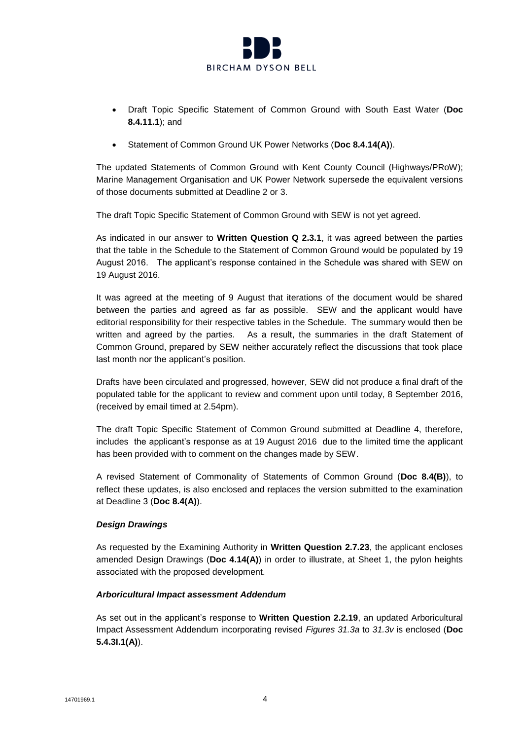

- Draft Topic Specific Statement of Common Ground with South East Water (**Doc 8.4.11.1**); and
- Statement of Common Ground UK Power Networks (**Doc 8.4.14(A)**).

The updated Statements of Common Ground with Kent County Council (Highways/PRoW); Marine Management Organisation and UK Power Network supersede the equivalent versions of those documents submitted at Deadline 2 or 3.

The draft Topic Specific Statement of Common Ground with SEW is not yet agreed.

As indicated in our answer to **Written Question Q 2.3.1**, it was agreed between the parties that the table in the Schedule to the Statement of Common Ground would be populated by 19 August 2016. The applicant's response contained in the Schedule was shared with SEW on 19 August 2016.

It was agreed at the meeting of 9 August that iterations of the document would be shared between the parties and agreed as far as possible. SEW and the applicant would have editorial responsibility for their respective tables in the Schedule. The summary would then be written and agreed by the parties. As a result, the summaries in the draft Statement of Common Ground, prepared by SEW neither accurately reflect the discussions that took place last month nor the applicant's position.

Drafts have been circulated and progressed, however, SEW did not produce a final draft of the populated table for the applicant to review and comment upon until today, 8 September 2016, (received by email timed at 2.54pm).

The draft Topic Specific Statement of Common Ground submitted at Deadline 4, therefore, includes the applicant's response as at 19 August 2016 due to the limited time the applicant has been provided with to comment on the changes made by SEW.

A revised Statement of Commonality of Statements of Common Ground (**Doc 8.4(B)**), to reflect these updates, is also enclosed and replaces the version submitted to the examination at Deadline 3 (**Doc 8.4(A)**).

# *Design Drawings*

As requested by the Examining Authority in **Written Question 2.7.23**, the applicant encloses amended Design Drawings (**Doc 4.14(A)**) in order to illustrate, at Sheet 1, the pylon heights associated with the proposed development.

# *Arboricultural Impact assessment Addendum*

As set out in the applicant's response to **Written Question 2.2.19**, an updated Arboricultural Impact Assessment Addendum incorporating revised *Figures 31.3a* to *31.3v* is enclosed (**Doc 5.4.3I.1(A)**).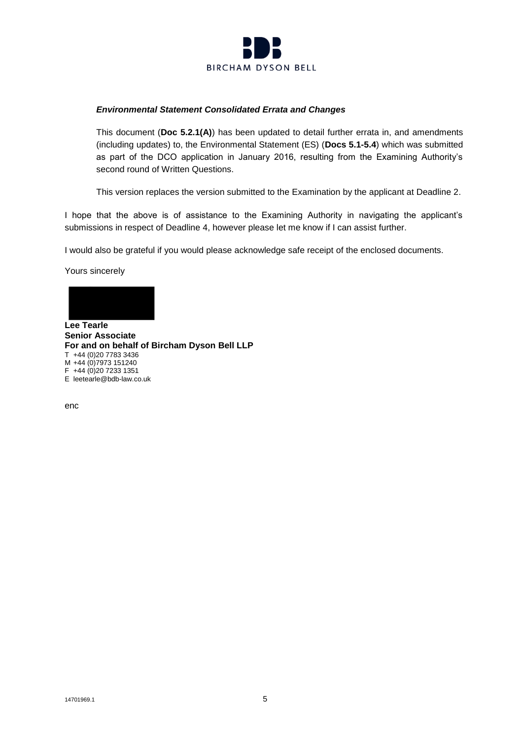

### *Environmental Statement Consolidated Errata and Changes*

This document (**Doc 5.2.1(A)**) has been updated to detail further errata in, and amendments (including updates) to, the Environmental Statement (ES) (**Docs 5.1-5.4**) which was submitted as part of the DCO application in January 2016, resulting from the Examining Authority's second round of Written Questions.

This version replaces the version submitted to the Examination by the applicant at Deadline 2.

I hope that the above is of assistance to the Examining Authority in navigating the applicant's submissions in respect of Deadline 4, however please let me know if I can assist further.

I would also be grateful if you would please acknowledge safe receipt of the enclosed documents.

Yours sincerely



**Senior Associate For and on behalf of Bircham Dyson Bell LLP**  T +44 (0)20 7783 3436 M +44 (0)7973 151240  $F +44 (0)20 7233 1351$ E leetearle@bdb-law.co.uk

enc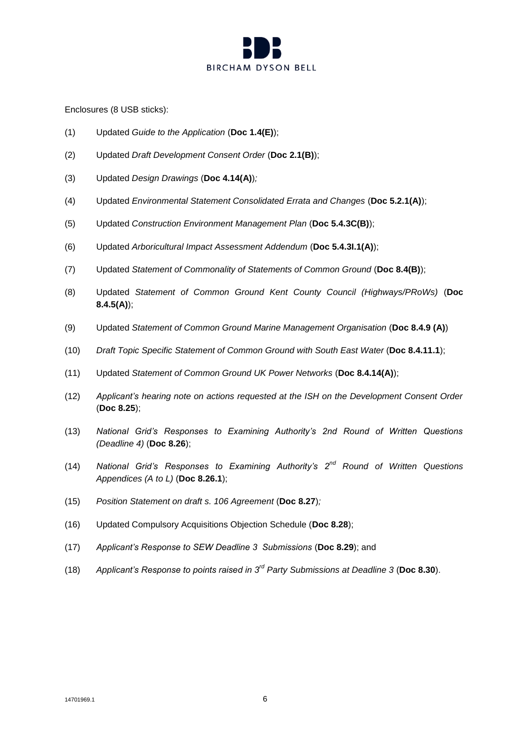

Enclosures (8 USB sticks):

- (1) Updated *Guide to the Application* (**Doc 1.4(E)**);
- (2) Updated *Draft Development Consent Order* (**Doc 2.1(B)**);
- (3) Updated *Design Drawings* (**Doc 4.14(A)**)*;*
- (4) Updated *Environmental Statement Consolidated Errata and Changes* (**Doc 5.2.1(A)**);
- (5) Updated *Construction Environment Management Plan* (**Doc 5.4.3C(B)**);
- (6) Updated *Arboricultural Impact Assessment Addendum* (**Doc 5.4.3I.1(A)**);
- (7) Updated *Statement of Commonality of Statements of Common Ground* (**Doc 8.4(B)**);
- (8) Updated *Statement of Common Ground Kent County Council (Highways/PRoWs)* (**Doc 8.4.5(A)**);
- (9) Updated *Statement of Common Ground Marine Management Organisation* (**Doc 8.4.9 (A)**)
- (10) *Draft Topic Specific Statement of Common Ground with South East Water* (**Doc 8.4.11.1**);
- (11) Updated *Statement of Common Ground UK Power Networks* (**Doc 8.4.14(A)**);
- (12) *Applicant's hearing note on actions requested at the ISH on the Development Consent Order* (**Doc 8.25**);
- (13) *National Grid's Responses to Examining Authority's 2nd Round of Written Questions (Deadline 4)* (**Doc 8.26**);
- (14) *National Grid's Responses to Examining Authority's 2nd Round of Written Questions Appendices (A to L)* (**Doc 8.26.1**);
- (15) *Position Statement on draft s. 106 Agreement* (**Doc 8.27**)*;*
- (16) Updated Compulsory Acquisitions Objection Schedule (**Doc 8.28**);
- (17) *Applicant's Response to SEW Deadline 3 Submissions* (**Doc 8.29**); and
- (18) *Applicant's Response to points raised in 3rd Party Submissions at Deadline 3* (**Doc 8.30**).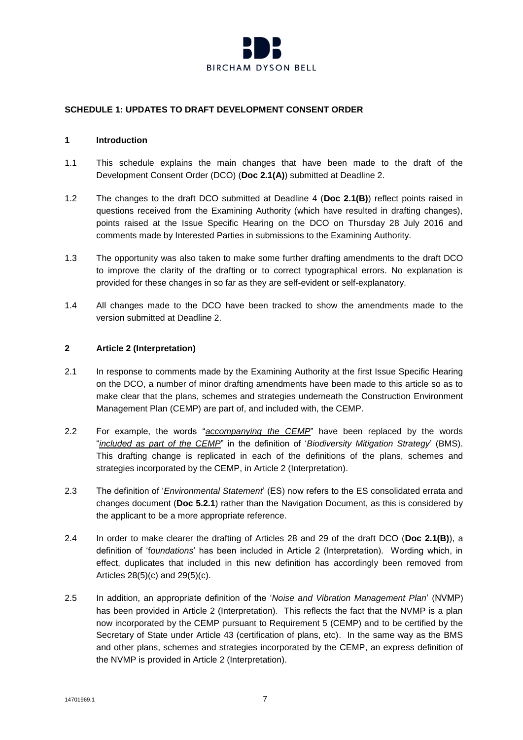

# **SCHEDULE 1: UPDATES TO DRAFT DEVELOPMENT CONSENT ORDER**

### **1 Introduction**

- 1.1 This schedule explains the main changes that have been made to the draft of the Development Consent Order (DCO) (**Doc 2.1(A)**) submitted at Deadline 2.
- 1.2 The changes to the draft DCO submitted at Deadline 4 (**Doc 2.1(B)**) reflect points raised in questions received from the Examining Authority (which have resulted in drafting changes), points raised at the Issue Specific Hearing on the DCO on Thursday 28 July 2016 and comments made by Interested Parties in submissions to the Examining Authority.
- 1.3 The opportunity was also taken to make some further drafting amendments to the draft DCO to improve the clarity of the drafting or to correct typographical errors. No explanation is provided for these changes in so far as they are self-evident or self-explanatory.
- 1.4 All changes made to the DCO have been tracked to show the amendments made to the version submitted at Deadline 2.

### **2 Article 2 (Interpretation)**

- 2.1 In response to comments made by the Examining Authority at the first Issue Specific Hearing on the DCO, a number of minor drafting amendments have been made to this article so as to make clear that the plans, schemes and strategies underneath the Construction Environment Management Plan (CEMP) are part of, and included with, the CEMP.
- 2.2 For example, the words "*accompanying the CEMP*" have been replaced by the words "*included as part of the CEMP*" in the definition of '*Biodiversity Mitigation Strategy*' (BMS). This drafting change is replicated in each of the definitions of the plans, schemes and strategies incorporated by the CEMP, in Article 2 (Interpretation).
- 2.3 The definition of '*Environmental Statement*' (ES) now refers to the ES consolidated errata and changes document (**Doc 5.2.1**) rather than the Navigation Document, as this is considered by the applicant to be a more appropriate reference.
- 2.4 In order to make clearer the drafting of Articles 28 and 29 of the draft DCO (**Doc 2.1(B)**), a definition of 'f*oundations*' has been included in Article 2 (Interpretation). Wording which, in effect, duplicates that included in this new definition has accordingly been removed from Articles 28(5)(c) and 29(5)(c).
- 2.5 In addition, an appropriate definition of the '*Noise and Vibration Management Plan*' (NVMP) has been provided in Article 2 (Interpretation). This reflects the fact that the NVMP is a plan now incorporated by the CEMP pursuant to Requirement 5 (CEMP) and to be certified by the Secretary of State under Article 43 (certification of plans, etc). In the same way as the BMS and other plans, schemes and strategies incorporated by the CEMP, an express definition of the NVMP is provided in Article 2 (Interpretation).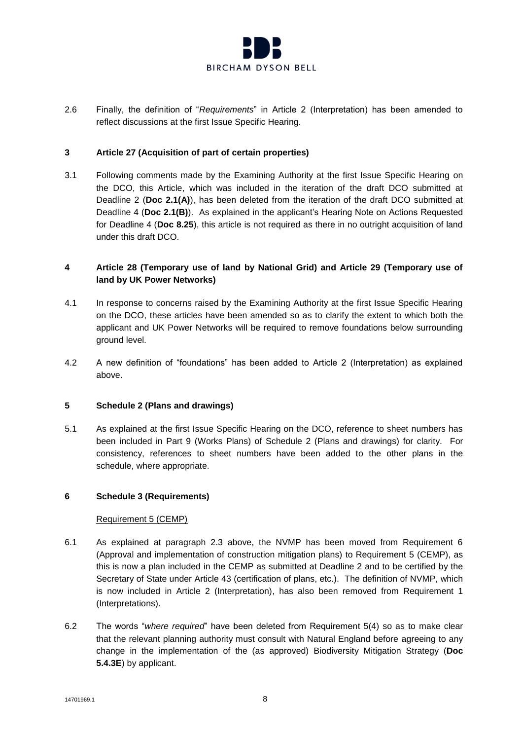

2.6 Finally, the definition of "*Requirements*" in Article 2 (Interpretation) has been amended to reflect discussions at the first Issue Specific Hearing.

### **3 Article 27 (Acquisition of part of certain properties)**

3.1 Following comments made by the Examining Authority at the first Issue Specific Hearing on the DCO, this Article, which was included in the iteration of the draft DCO submitted at Deadline 2 (**Doc 2.1(A)**), has been deleted from the iteration of the draft DCO submitted at Deadline 4 (**Doc 2.1(B)**). As explained in the applicant's Hearing Note on Actions Requested for Deadline 4 (**Doc 8.25**), this article is not required as there in no outright acquisition of land under this draft DCO.

# **4 Article 28 (Temporary use of land by National Grid) and Article 29 (Temporary use of land by UK Power Networks)**

- 4.1 In response to concerns raised by the Examining Authority at the first Issue Specific Hearing on the DCO, these articles have been amended so as to clarify the extent to which both the applicant and UK Power Networks will be required to remove foundations below surrounding ground level.
- 4.2 A new definition of "foundations" has been added to Article 2 (Interpretation) as explained above.

### **5 Schedule 2 (Plans and drawings)**

5.1 As explained at the first Issue Specific Hearing on the DCO, reference to sheet numbers has been included in Part 9 (Works Plans) of Schedule 2 (Plans and drawings) for clarity. For consistency, references to sheet numbers have been added to the other plans in the schedule, where appropriate.

### **6 Schedule 3 (Requirements)**

### Requirement 5 (CEMP)

- 6.1 As explained at paragraph 2.3 above, the NVMP has been moved from Requirement 6 (Approval and implementation of construction mitigation plans) to Requirement 5 (CEMP), as this is now a plan included in the CEMP as submitted at Deadline 2 and to be certified by the Secretary of State under Article 43 (certification of plans, etc.). The definition of NVMP, which is now included in Article 2 (Interpretation), has also been removed from Requirement 1 (Interpretations).
- 6.2 The words "*where required*" have been deleted from Requirement 5(4) so as to make clear that the relevant planning authority must consult with Natural England before agreeing to any change in the implementation of the (as approved) Biodiversity Mitigation Strategy (**Doc 5.4.3E**) by applicant.